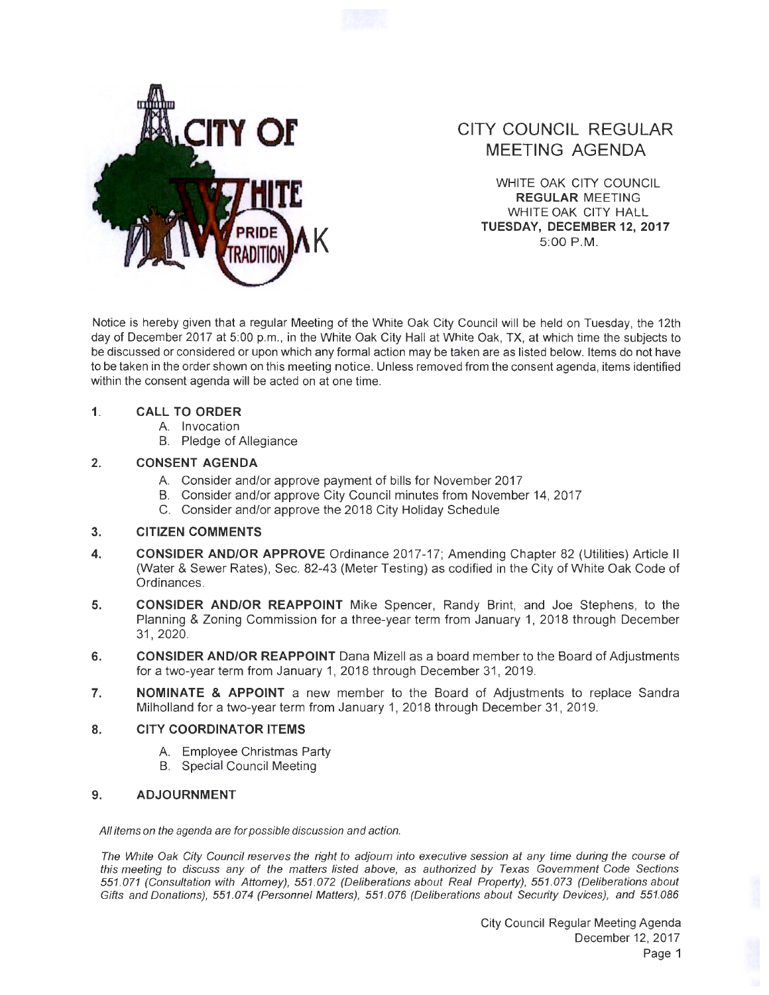

# **CITY COUNCIL REGULAR MEETING AGENDA**

WHITE OAK CITY COUNCIL **REGULAR** MEETING WHITE OAK CITY HALL **K TUESDAY, DECEMBER12,2017**  5:00 P.M.

Notice is hereby given that a regular Meeting of the White Oak City Council will be held on Tuesday, the 12th day of December 2017 at 5:00 p.m., in the White Oak City Hall at White Oak, TX, at which time the subjects to be discussed or considered or upon which any formal action may be taken are as listed below. Items do not have to be taken in the order shown on this meeting notice. Unless removed from the consent agenda, items identified within the consent agenda will be acted on at one time.

### **1. CALL TO ORDER**

- A. Invocation
- B. Pledge of Allegiance

## **2. CONSENT AGENDA**

- A. Consider and/or approve payment of bills for November 2017
- B. Consider and/or approve City Council minutes from November 14, 2017
- C. Consider and/or approve the 2018 City Holiday Schedule

#### **3. CITIZEN COMMENTS**

- **4. CONSIDER AND/OR APPROVE** Ordinance 2017-17; Amending Chapter 82 (Utilities) Article II (Water & Sewer Rates) , Sec. 82-43 (Meter Testing) as codified in the City of White Oak Code of Ordinances.
- **5. CONSIDER AND/OR REAPPOINT** Mike Spencer, Randy Brint, and Joe Stephens, to the Planning & Zoning Commission for a three-year term from January 1, 2018 through December 31, 2020.
- **6.** CONSIDER AND/OR REAPPOINT Dana Mizell as a board member to the Board of Adjustments for a two-year term from January 1, 2018 through December 31, 2019.
- **7. NOMINATE & APPOINT** a new member to the Board of Adjustments to replace Sandra Milholland for a two-year term from January 1, 2018 through December 31 , 2019.

#### **8. CITY COORDINATOR ITEMS**

- A. Employee Christmas Party
- B. Special Council Meeting

#### **9. ADJOURNMENT**

All items on the agenda are for possible discussion and action.

The White Oak City Council reserves the right to adjourn into executive session at any time during the course of this meeting to discuss any of the matters listed above, as authorized by Texas Government Code Sections 551 .071 (Consultation with Attorney), 551 .072 (Deliberations about Real Property), 551 .073 (Deliberations about Gifts and Donations), 551.074 (Personnel Matters), 551.076 (Deliberations about Security Devices), and 551.086

> City Council Regular Meeting Agenda December 12, 2017 Page 1